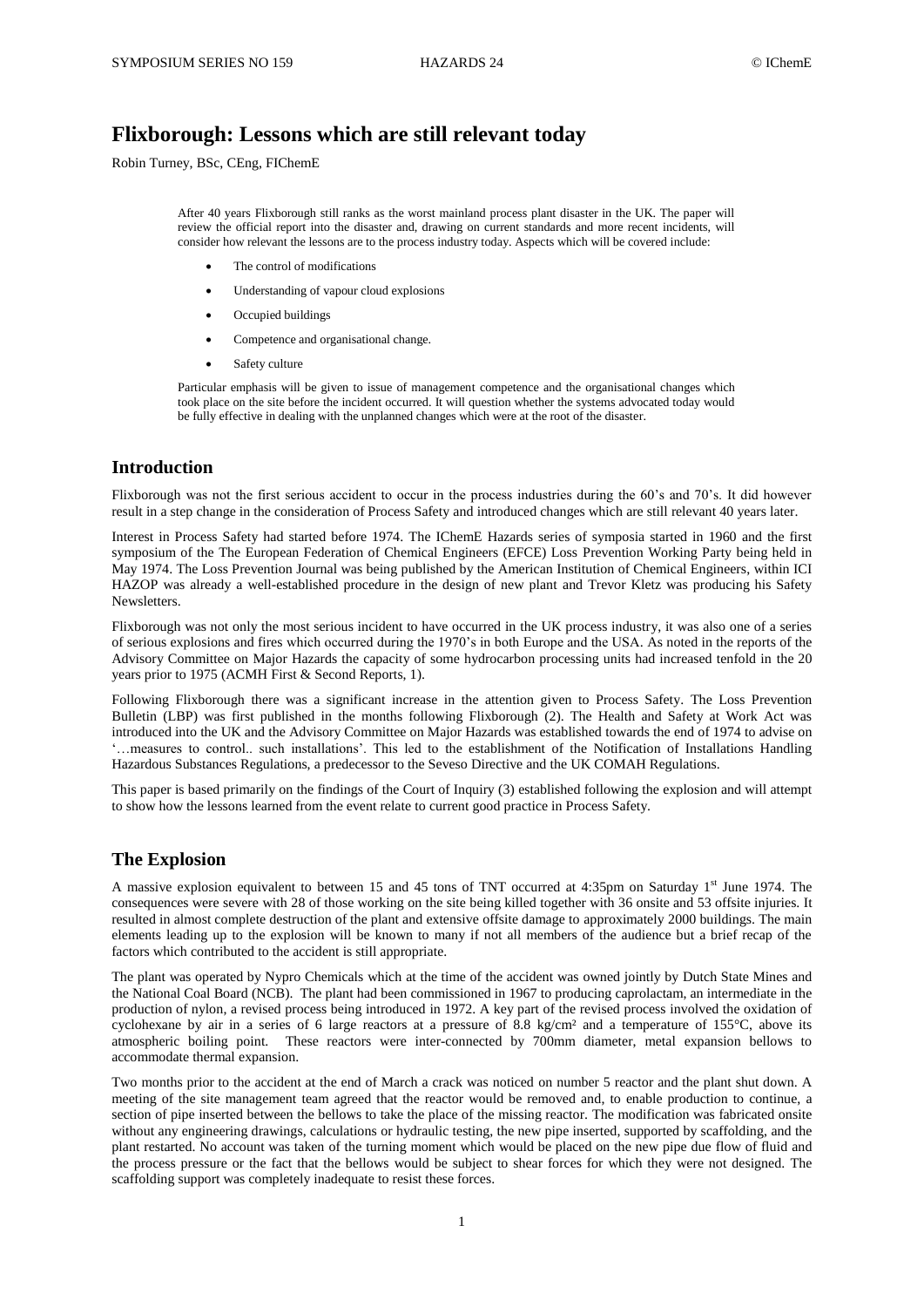# **Flixborough: Lessons which are still relevant today**

Robin Turney, BSc, CEng, FIChemE

After 40 years Flixborough still ranks as the worst mainland process plant disaster in the UK. The paper will review the official report into the disaster and, drawing on current standards and more recent incidents, will consider how relevant the lessons are to the process industry today. Aspects which will be covered include:

- The control of modifications
- Understanding of vapour cloud explosions
- Occupied buildings
- Competence and organisational change.
- Safety culture

Particular emphasis will be given to issue of management competence and the organisational changes which took place on the site before the incident occurred. It will question whether the systems advocated today would be fully effective in dealing with the unplanned changes which were at the root of the disaster.

# **Introduction**

Flixborough was not the first serious accident to occur in the process industries during the 60's and 70's. It did however result in a step change in the consideration of Process Safety and introduced changes which are still relevant 40 years later.

Interest in Process Safety had started before 1974. The IChemE Hazards series of symposia started in 1960 and the first symposium of the The European Federation of Chemical Engineers (EFCE) Loss Prevention Working Party being held in May 1974. The Loss Prevention Journal was being published by the American Institution of Chemical Engineers, within ICI HAZOP was already a well-established procedure in the design of new plant and Trevor Kletz was producing his Safety Newsletters.

Flixborough was not only the most serious incident to have occurred in the UK process industry, it was also one of a series of serious explosions and fires which occurred during the 1970's in both Europe and the USA. As noted in the reports of the Advisory Committee on Major Hazards the capacity of some hydrocarbon processing units had increased tenfold in the 20 years prior to 1975 (ACMH First & Second Reports, 1).

Following Flixborough there was a significant increase in the attention given to Process Safety. The Loss Prevention Bulletin (LBP) was first published in the months following Flixborough (2). The Health and Safety at Work Act was introduced into the UK and the Advisory Committee on Major Hazards was established towards the end of 1974 to advise on '…measures to control.. such installations'. This led to the establishment of the Notification of Installations Handling Hazardous Substances Regulations, a predecessor to the Seveso Directive and the UK COMAH Regulations.

This paper is based primarily on the findings of the Court of Inquiry (3) established following the explosion and will attempt to show how the lessons learned from the event relate to current good practice in Process Safety.

# **The Explosion**

A massive explosion equivalent to between 15 and 45 tons of TNT occurred at 4:35pm on Saturday 1<sup>st</sup> June 1974. The consequences were severe with 28 of those working on the site being killed together with 36 onsite and 53 offsite injuries. It resulted in almost complete destruction of the plant and extensive offsite damage to approximately 2000 buildings. The main elements leading up to the explosion will be known to many if not all members of the audience but a brief recap of the factors which contributed to the accident is still appropriate.

The plant was operated by Nypro Chemicals which at the time of the accident was owned jointly by Dutch State Mines and the National Coal Board (NCB). The plant had been commissioned in 1967 to producing caprolactam, an intermediate in the production of nylon, a revised process being introduced in 1972. A key part of the revised process involved the oxidation of cyclohexane by air in a series of 6 large reactors at a pressure of 8.8 kg/cm² and a temperature of 155°C, above its atmospheric boiling point. These reactors were inter-connected by 700mm diameter, metal expansion bellows to accommodate thermal expansion.

Two months prior to the accident at the end of March a crack was noticed on number 5 reactor and the plant shut down. A meeting of the site management team agreed that the reactor would be removed and, to enable production to continue, a section of pipe inserted between the bellows to take the place of the missing reactor. The modification was fabricated onsite without any engineering drawings, calculations or hydraulic testing, the new pipe inserted, supported by scaffolding, and the plant restarted. No account was taken of the turning moment which would be placed on the new pipe due flow of fluid and the process pressure or the fact that the bellows would be subject to shear forces for which they were not designed. The scaffolding support was completely inadequate to resist these forces.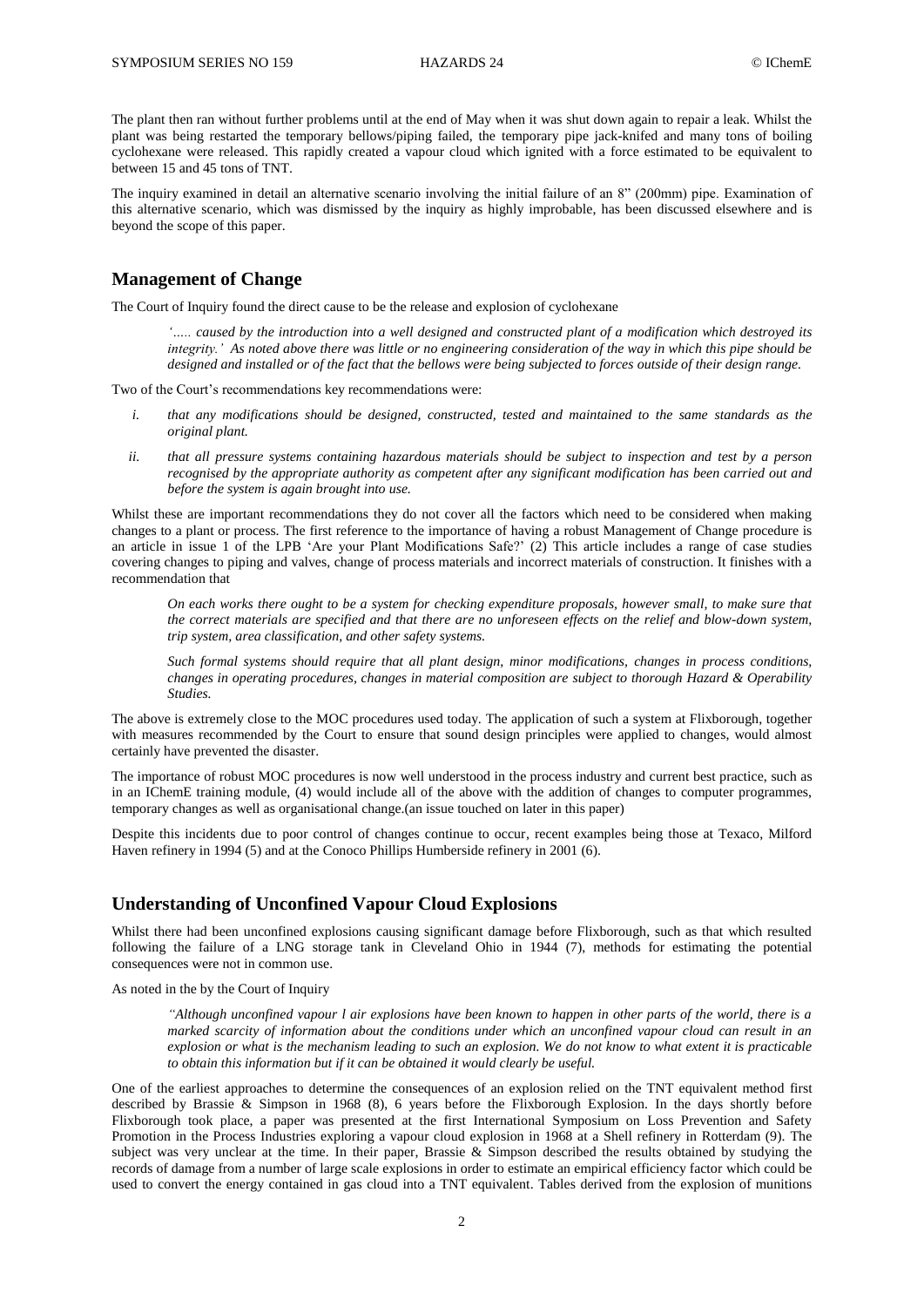The plant then ran without further problems until at the end of May when it was shut down again to repair a leak. Whilst the plant was being restarted the temporary bellows/piping failed, the temporary pipe jack-knifed and many tons of boiling cyclohexane were released. This rapidly created a vapour cloud which ignited with a force estimated to be equivalent to between 15 and 45 tons of TNT.

The inquiry examined in detail an alternative scenario involving the initial failure of an 8" (200mm) pipe. Examination of this alternative scenario, which was dismissed by the inquiry as highly improbable, has been discussed elsewhere and is beyond the scope of this paper.

# **Management of Change**

The Court of Inquiry found the direct cause to be the release and explosion of cyclohexane

*'….. caused by the introduction into a well designed and constructed plant of a modification which destroyed its integrity.' As noted above there was little or no engineering consideration of the way in which this pipe should be designed and installed or of the fact that the bellows were being subjected to forces outside of their design range.* 

Two of the Court's recommendations key recommendations were:

- *i. that any modifications should be designed, constructed, tested and maintained to the same standards as the original plant.*
- *ii. that all pressure systems containing hazardous materials should be subject to inspection and test by a person recognised by the appropriate authority as competent after any significant modification has been carried out and before the system is again brought into use.*

Whilst these are important recommendations they do not cover all the factors which need to be considered when making changes to a plant or process. The first reference to the importance of having a robust Management of Change procedure is an article in issue 1 of the LPB 'Are your Plant Modifications Safe?' (2) This article includes a range of case studies covering changes to piping and valves, change of process materials and incorrect materials of construction. It finishes with a recommendation that

*On each works there ought to be a system for checking expenditure proposals, however small, to make sure that the correct materials are specified and that there are no unforeseen effects on the relief and blow-down system, trip system, area classification, and other safety systems.*

*Such formal systems should require that all plant design, minor modifications, changes in process conditions, changes in operating procedures, changes in material composition are subject to thorough Hazard & Operability Studies.*

The above is extremely close to the MOC procedures used today. The application of such a system at Flixborough, together with measures recommended by the Court to ensure that sound design principles were applied to changes, would almost certainly have prevented the disaster.

The importance of robust MOC procedures is now well understood in the process industry and current best practice, such as in an IChemE training module, (4) would include all of the above with the addition of changes to computer programmes, temporary changes as well as organisational change.(an issue touched on later in this paper)

Despite this incidents due to poor control of changes continue to occur, recent examples being those at Texaco, Milford Haven refinery in 1994 (5) and at the Conoco Phillips Humberside refinery in 2001 (6).

# **Understanding of Unconfined Vapour Cloud Explosions**

Whilst there had been unconfined explosions causing significant damage before Flixborough, such as that which resulted following the failure of a LNG storage tank in Cleveland Ohio in 1944 (7), methods for estimating the potential consequences were not in common use.

As noted in the by the Court of Inquiry

*"Although unconfined vapour l air explosions have been known to happen in other parts of the world, there is a marked scarcity of information about the conditions under which an unconfined vapour cloud can result in an explosion or what is the mechanism leading to such an explosion. We do not know to what extent it is practicable to obtain this information but if it can be obtained it would clearly be useful.*

One of the earliest approaches to determine the consequences of an explosion relied on the TNT equivalent method first described by Brassie & Simpson in 1968 (8), 6 years before the Flixborough Explosion. In the days shortly before Flixborough took place, a paper was presented at the first International Symposium on Loss Prevention and Safety Promotion in the Process Industries exploring a vapour cloud explosion in 1968 at a Shell refinery in Rotterdam (9). The subject was very unclear at the time. In their paper, Brassie & Simpson described the results obtained by studying the records of damage from a number of large scale explosions in order to estimate an empirical efficiency factor which could be used to convert the energy contained in gas cloud into a TNT equivalent. Tables derived from the explosion of munitions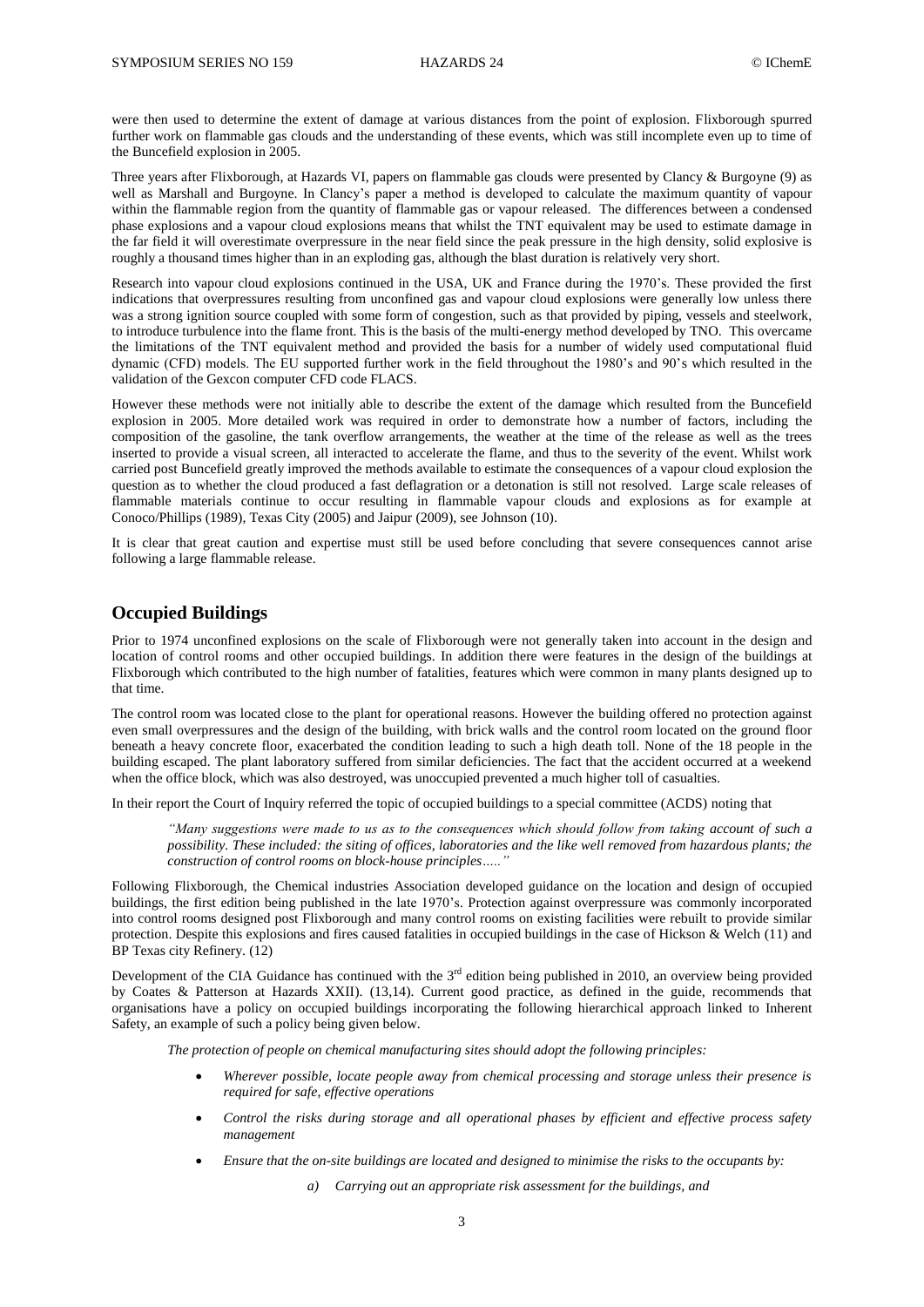were then used to determine the extent of damage at various distances from the point of explosion. Flixborough spurred further work on flammable gas clouds and the understanding of these events, which was still incomplete even up to time of the Buncefield explosion in 2005.

Three years after Flixborough, at Hazards VI, papers on flammable gas clouds were presented by Clancy & Burgoyne (9) as well as Marshall and Burgoyne. In Clancy's paper a method is developed to calculate the maximum quantity of vapour within the flammable region from the quantity of flammable gas or vapour released. The differences between a condensed phase explosions and a vapour cloud explosions means that whilst the TNT equivalent may be used to estimate damage in the far field it will overestimate overpressure in the near field since the peak pressure in the high density, solid explosive is roughly a thousand times higher than in an exploding gas, although the blast duration is relatively very short.

Research into vapour cloud explosions continued in the USA, UK and France during the 1970's. These provided the first indications that overpressures resulting from unconfined gas and vapour cloud explosions were generally low unless there was a strong ignition source coupled with some form of congestion, such as that provided by piping, vessels and steelwork, to introduce turbulence into the flame front. This is the basis of the multi-energy method developed by TNO. This overcame the limitations of the TNT equivalent method and provided the basis for a number of widely used computational fluid dynamic (CFD) models. The EU supported further work in the field throughout the 1980's and 90's which resulted in the validation of the Gexcon computer CFD code FLACS.

However these methods were not initially able to describe the extent of the damage which resulted from the Buncefield explosion in 2005. More detailed work was required in order to demonstrate how a number of factors, including the composition of the gasoline, the tank overflow arrangements, the weather at the time of the release as well as the trees inserted to provide a visual screen, all interacted to accelerate the flame, and thus to the severity of the event. Whilst work carried post Buncefield greatly improved the methods available to estimate the consequences of a vapour cloud explosion the question as to whether the cloud produced a fast deflagration or a detonation is still not resolved. Large scale releases of flammable materials continue to occur resulting in flammable vapour clouds and explosions as for example at Conoco/Phillips (1989), Texas City (2005) and Jaipur (2009), see Johnson (10).

It is clear that great caution and expertise must still be used before concluding that severe consequences cannot arise following a large flammable release.

# **Occupied Buildings**

Prior to 1974 unconfined explosions on the scale of Flixborough were not generally taken into account in the design and location of control rooms and other occupied buildings. In addition there were features in the design of the buildings at Flixborough which contributed to the high number of fatalities, features which were common in many plants designed up to that time.

The control room was located close to the plant for operational reasons. However the building offered no protection against even small overpressures and the design of the building, with brick walls and the control room located on the ground floor beneath a heavy concrete floor, exacerbated the condition leading to such a high death toll. None of the 18 people in the building escaped. The plant laboratory suffered from similar deficiencies. The fact that the accident occurred at a weekend when the office block, which was also destroyed, was unoccupied prevented a much higher toll of casualties.

In their report the Court of Inquiry referred the topic of occupied buildings to a special committee (ACDS) noting that

*"Many suggestions were made to us as to the consequences which should follow from taking account of such a possibility. These included: the siting of offices, laboratories and the like well removed from hazardous plants; the construction of control rooms on block-house principles….."*

Following Flixborough, the Chemical industries Association developed guidance on the location and design of occupied buildings, the first edition being published in the late 1970's. Protection against overpressure was commonly incorporated into control rooms designed post Flixborough and many control rooms on existing facilities were rebuilt to provide similar protection. Despite this explosions and fires caused fatalities in occupied buildings in the case of Hickson & Welch (11) and BP Texas city Refinery. (12)

Development of the CIA Guidance has continued with the  $3<sup>rd</sup>$  edition being published in 2010, an overview being provided by Coates & Patterson at Hazards XXII). (13,14). Current good practice, as defined in the guide, recommends that organisations have a policy on occupied buildings incorporating the following hierarchical approach linked to Inherent Safety, an example of such a policy being given below.

*The protection of people on chemical manufacturing sites should adopt the following principles:*

- *Wherever possible, locate people away from chemical processing and storage unless their presence is required for safe, effective operations*
- *Control the risks during storage and all operational phases by efficient and effective process safety management*
- *Ensure that the on-site buildings are located and designed to minimise the risks to the occupants by:*

*a) Carrying out an appropriate risk assessment for the buildings, and*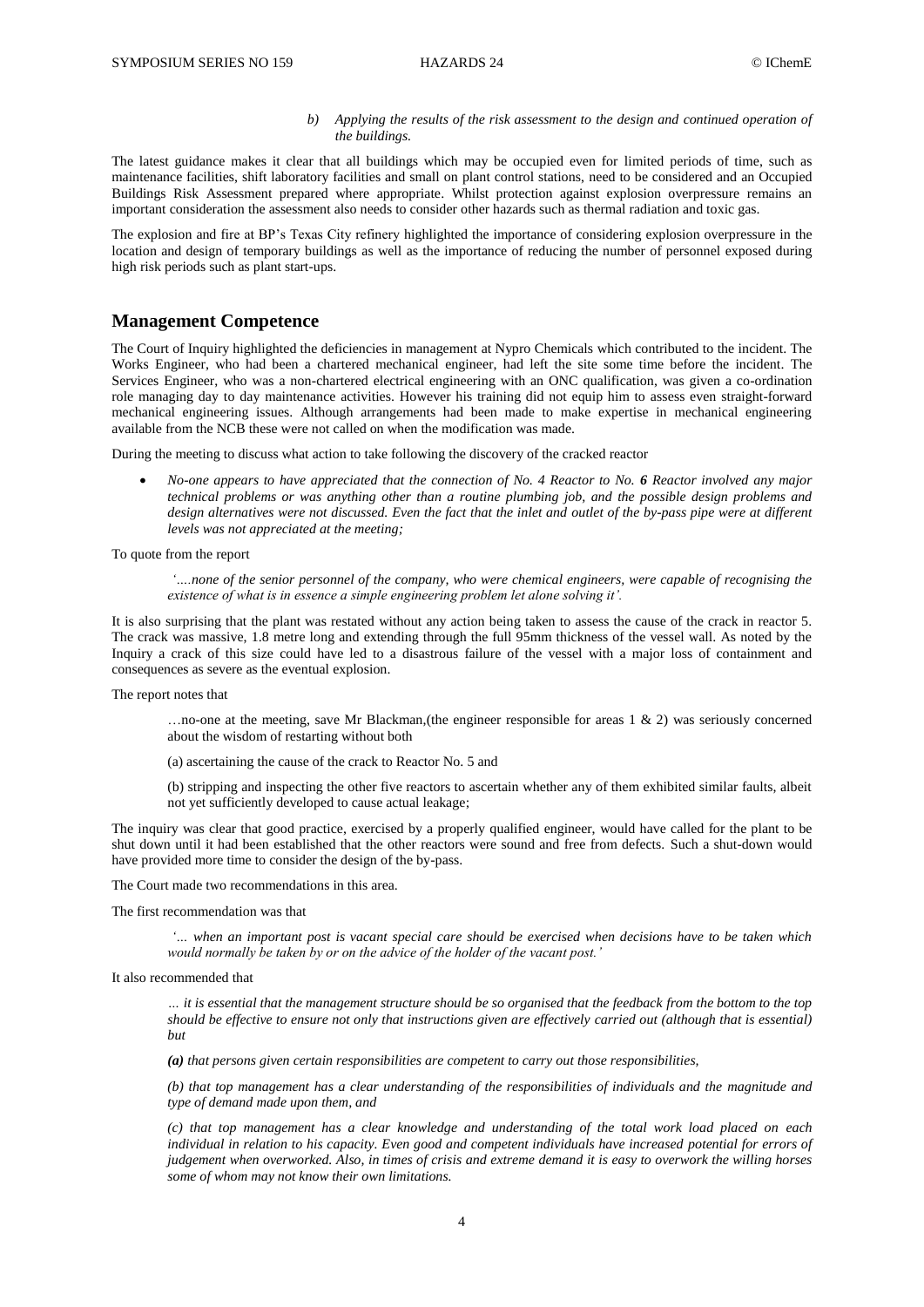#### *b) Applying the results of the risk assessment to the design and continued operation of the buildings.*

The latest guidance makes it clear that all buildings which may be occupied even for limited periods of time, such as maintenance facilities, shift laboratory facilities and small on plant control stations, need to be considered and an Occupied Buildings Risk Assessment prepared where appropriate. Whilst protection against explosion overpressure remains an important consideration the assessment also needs to consider other hazards such as thermal radiation and toxic gas.

The explosion and fire at BP's Texas City refinery highlighted the importance of considering explosion overpressure in the location and design of temporary buildings as well as the importance of reducing the number of personnel exposed during high risk periods such as plant start-ups.

#### **Management Competence**

The Court of Inquiry highlighted the deficiencies in management at Nypro Chemicals which contributed to the incident. The Works Engineer, who had been a chartered mechanical engineer, had left the site some time before the incident. The Services Engineer, who was a non-chartered electrical engineering with an ONC qualification, was given a co-ordination role managing day to day maintenance activities. However his training did not equip him to assess even straight-forward mechanical engineering issues. Although arrangements had been made to make expertise in mechanical engineering available from the NCB these were not called on when the modification was made.

During the meeting to discuss what action to take following the discovery of the cracked reactor

 *No-one appears to have appreciated that the connection of No. 4 Reactor to No. 6 Reactor involved any major technical problems or was anything other than a routine plumbing job, and the possible design problems and design alternatives were not discussed. Even the fact that the inlet and outlet of the by-pass pipe were at different levels was not appreciated at the meeting;*

#### To quote from the report

*'….none of the senior personnel of the company, who were chemical engineers, were capable of recognising the existence of what is in essence a simple engineering problem let alone solving it'.*

It is also surprising that the plant was restated without any action being taken to assess the cause of the crack in reactor 5. The crack was massive, 1.8 metre long and extending through the full 95mm thickness of the vessel wall. As noted by the Inquiry a crack of this size could have led to a disastrous failure of the vessel with a major loss of containment and consequences as severe as the eventual explosion.

The report notes that

…no-one at the meeting, save Mr Blackman,(the engineer responsible for areas 1 & 2) was seriously concerned about the wisdom of restarting without both

- (a) ascertaining the cause of the crack to Reactor No. 5 and
- (b) stripping and inspecting the other five reactors to ascertain whether any of them exhibited similar faults, albeit not yet sufficiently developed to cause actual leakage;

The inquiry was clear that good practice, exercised by a properly qualified engineer, would have called for the plant to be shut down until it had been established that the other reactors were sound and free from defects. Such a shut-down would have provided more time to consider the design of the by-pass.

The Court made two recommendations in this area.

The first recommendation was that

*'… when an important post is vacant special care should be exercised when decisions have to be taken which would normally be taken by or on the advice of the holder of the vacant post.'*

It also recommended that

*… it is essential that the management structure should be so organised that the feedback from the bottom to the top should be effective to ensure not only that instructions given are effectively carried out (although that is essential) but*

*(a) that persons given certain responsibilities are competent to carry out those responsibilities,*

*(b) that top management has a clear understanding of the responsibilities of individuals and the magnitude and type of demand made upon them, and*

*(c) that top management has a clear knowledge and understanding of the total work load placed on each individual in relation to his capacity. Even good and competent individuals have increased potential for errors of judgement when overworked. Also, in times of crisis and extreme demand it is easy to overwork the willing horses some of whom may not know their own limitations.*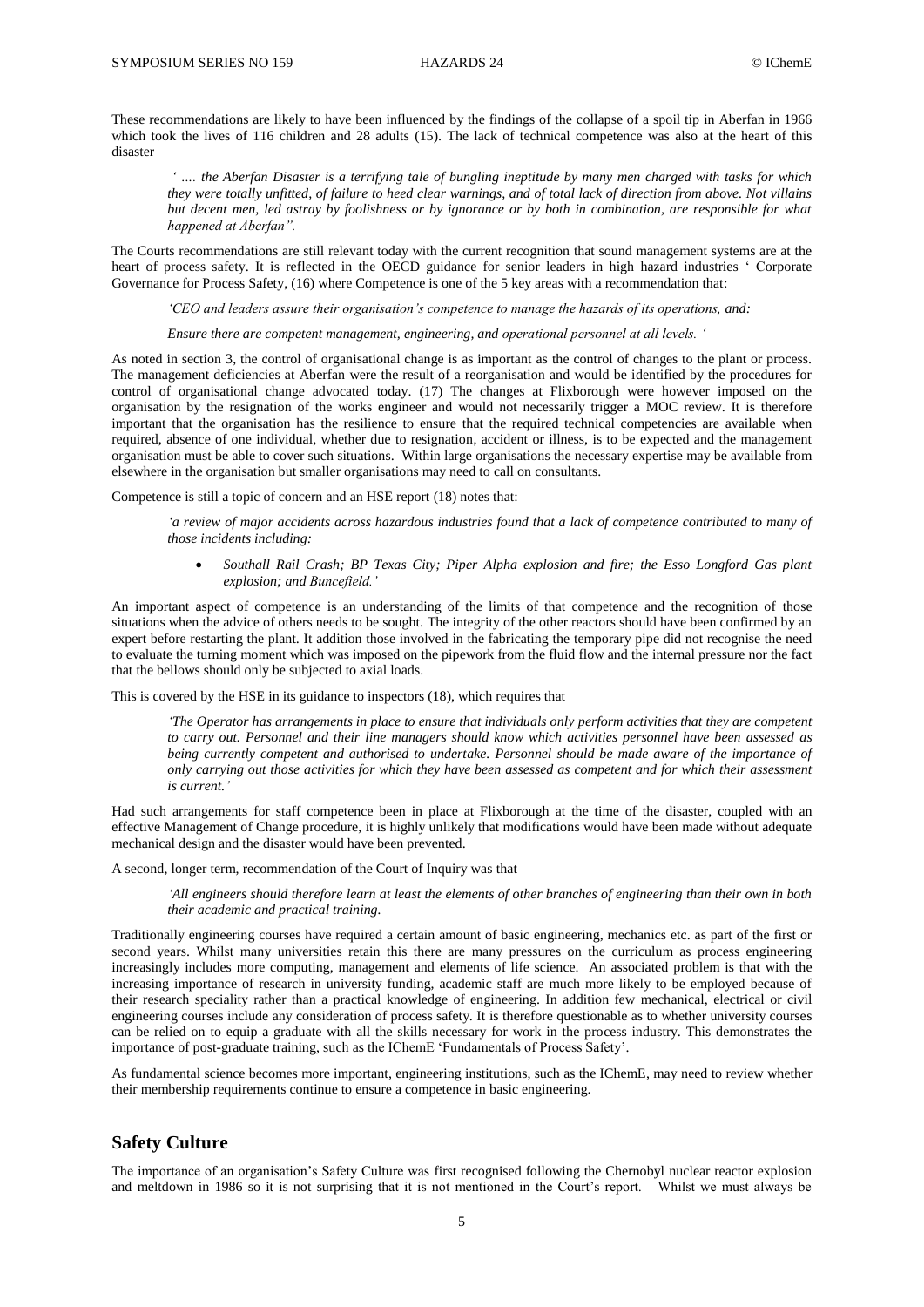These recommendations are likely to have been influenced by the findings of the collapse of a spoil tip in Aberfan in 1966 which took the lives of 116 children and 28 adults (15). The lack of technical competence was also at the heart of this disaster

*' …. the Aberfan Disaster is a terrifying tale of bungling ineptitude by many men charged with tasks for which they were totally unfitted, of failure to heed clear warnings, and of total lack of direction from above. Not villains but decent men, led astray by foolishness or by ignorance or by both in combination, are responsible for what happened at Aberfan".* 

The Courts recommendations are still relevant today with the current recognition that sound management systems are at the heart of process safety. It is reflected in the OECD guidance for senior leaders in high hazard industries ' Corporate Governance for Process Safety, (16) where Competence is one of the 5 key areas with a recommendation that:

*'CEO and leaders assure their organisation's competence to manage the hazards of its operations, and:* 

*Ensure there are competent management, engineering, and operational personnel at all levels. '*

As noted in section 3, the control of organisational change is as important as the control of changes to the plant or process. The management deficiencies at Aberfan were the result of a reorganisation and would be identified by the procedures for control of organisational change advocated today. (17) The changes at Flixborough were however imposed on the organisation by the resignation of the works engineer and would not necessarily trigger a MOC review. It is therefore important that the organisation has the resilience to ensure that the required technical competencies are available when required, absence of one individual, whether due to resignation, accident or illness, is to be expected and the management organisation must be able to cover such situations. Within large organisations the necessary expertise may be available from elsewhere in the organisation but smaller organisations may need to call on consultants.

Competence is still a topic of concern and an HSE report (18) notes that:

*'a review of major accidents across hazardous industries found that a lack of competence contributed to many of those incidents including:*

 *Southall Rail Crash; BP Texas City; Piper Alpha explosion and fire; the Esso Longford Gas plant explosion; and Buncefield.'*

An important aspect of competence is an understanding of the limits of that competence and the recognition of those situations when the advice of others needs to be sought. The integrity of the other reactors should have been confirmed by an expert before restarting the plant. It addition those involved in the fabricating the temporary pipe did not recognise the need to evaluate the turning moment which was imposed on the pipework from the fluid flow and the internal pressure nor the fact that the bellows should only be subjected to axial loads.

This is covered by the HSE in its guidance to inspectors (18), which requires that

*'The Operator has arrangements in place to ensure that individuals only perform activities that they are competent to carry out. Personnel and their line managers should know which activities personnel have been assessed as being currently competent and authorised to undertake. Personnel should be made aware of the importance of only carrying out those activities for which they have been assessed as competent and for which their assessment is current.'*

Had such arrangements for staff competence been in place at Flixborough at the time of the disaster, coupled with an effective Management of Change procedure, it is highly unlikely that modifications would have been made without adequate mechanical design and the disaster would have been prevented.

A second, longer term, recommendation of the Court of Inquiry was that

*'All engineers should therefore learn at least the elements of other branches of engineering than their own in both their academic and practical training.*

Traditionally engineering courses have required a certain amount of basic engineering, mechanics etc. as part of the first or second years. Whilst many universities retain this there are many pressures on the curriculum as process engineering increasingly includes more computing, management and elements of life science. An associated problem is that with the increasing importance of research in university funding, academic staff are much more likely to be employed because of their research speciality rather than a practical knowledge of engineering. In addition few mechanical, electrical or civil engineering courses include any consideration of process safety. It is therefore questionable as to whether university courses can be relied on to equip a graduate with all the skills necessary for work in the process industry. This demonstrates the importance of post-graduate training, such as the IChemE 'Fundamentals of Process Safety'.

As fundamental science becomes more important, engineering institutions, such as the IChemE, may need to review whether their membership requirements continue to ensure a competence in basic engineering.

### **Safety Culture**

The importance of an organisation's Safety Culture was first recognised following the Chernobyl nuclear reactor explosion and meltdown in 1986 so it is not surprising that it is not mentioned in the Court's report. Whilst we must always be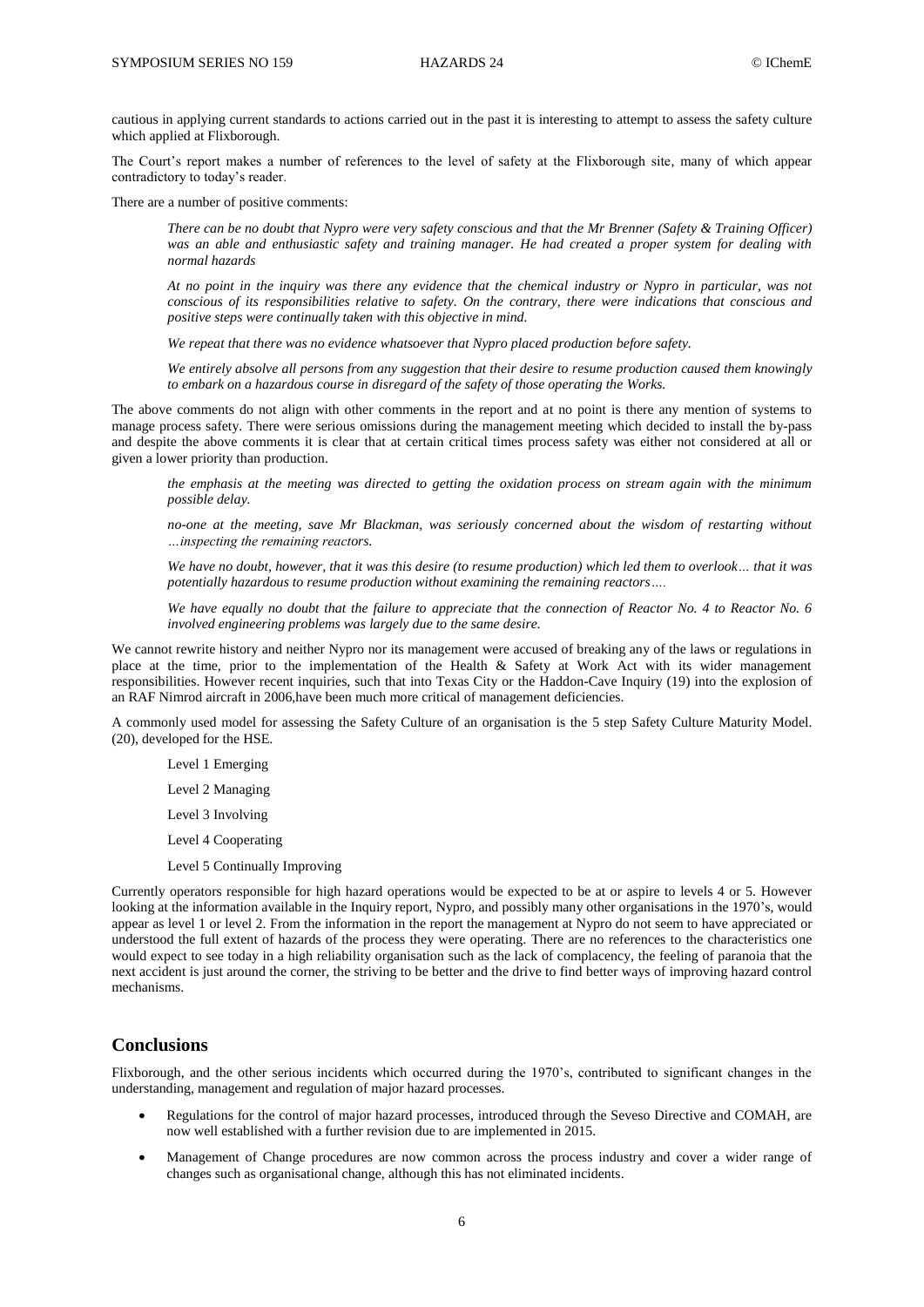cautious in applying current standards to actions carried out in the past it is interesting to attempt to assess the safety culture which applied at Flixborough.

The Court's report makes a number of references to the level of safety at the Flixborough site, many of which appear contradictory to today's reader.

There are a number of positive comments:

*There can be no doubt that Nypro were very safety conscious and that the Mr Brenner (Safety & Training Officer) was an able and enthusiastic safety and training manager. He had created a proper system for dealing with normal hazards*

*At no point in the inquiry was there any evidence that the chemical industry or Nypro in particular, was not conscious of its responsibilities relative to safety. On the contrary, there were indications that conscious and positive steps were continually taken with this objective in mind.*

*We repeat that there was no evidence whatsoever that Nypro placed production before safety.*

*We entirely absolve all persons from any suggestion that their desire to resume production caused them knowingly to embark on a hazardous course in disregard of the safety of those operating the Works.*

The above comments do not align with other comments in the report and at no point is there any mention of systems to manage process safety. There were serious omissions during the management meeting which decided to install the by-pass and despite the above comments it is clear that at certain critical times process safety was either not considered at all or given a lower priority than production.

*the emphasis at the meeting was directed to getting the oxidation process on stream again with the minimum possible delay.*

*no-one at the meeting, save Mr Blackman, was seriously concerned about the wisdom of restarting without …inspecting the remaining reactors.*

*We have no doubt, however, that it was this desire (to resume production) which led them to overlook… that it was potentially hazardous to resume production without examining the remaining reactors….*

*We have equally no doubt that the failure to appreciate that the connection of Reactor No. 4 to Reactor No. 6 involved engineering problems was largely due to the same desire.*

We cannot rewrite history and neither Nypro nor its management were accused of breaking any of the laws or regulations in place at the time, prior to the implementation of the Health & Safety at Work Act with its wider management responsibilities. However recent inquiries, such that into Texas City or the Haddon-Cave Inquiry (19) into the explosion of an RAF Nimrod aircraft in 2006,have been much more critical of management deficiencies.

A commonly used model for assessing the Safety Culture of an organisation is the 5 step Safety Culture Maturity Model. (20), developed for the HSE.

Level 1 Emerging

Level 2 Managing

- Level 3 Involving
- Level 4 Cooperating
- Level 5 Continually Improving

Currently operators responsible for high hazard operations would be expected to be at or aspire to levels 4 or 5. However looking at the information available in the Inquiry report, Nypro, and possibly many other organisations in the 1970's, would appear as level 1 or level 2. From the information in the report the management at Nypro do not seem to have appreciated or understood the full extent of hazards of the process they were operating. There are no references to the characteristics one would expect to see today in a high reliability organisation such as the lack of complacency, the feeling of paranoia that the next accident is just around the corner, the striving to be better and the drive to find better ways of improving hazard control mechanisms.

# **Conclusions**

Flixborough, and the other serious incidents which occurred during the 1970's, contributed to significant changes in the understanding, management and regulation of major hazard processes.

- Regulations for the control of major hazard processes, introduced through the Seveso Directive and COMAH, are now well established with a further revision due to are implemented in 2015.
- Management of Change procedures are now common across the process industry and cover a wider range of changes such as organisational change, although this has not eliminated incidents.